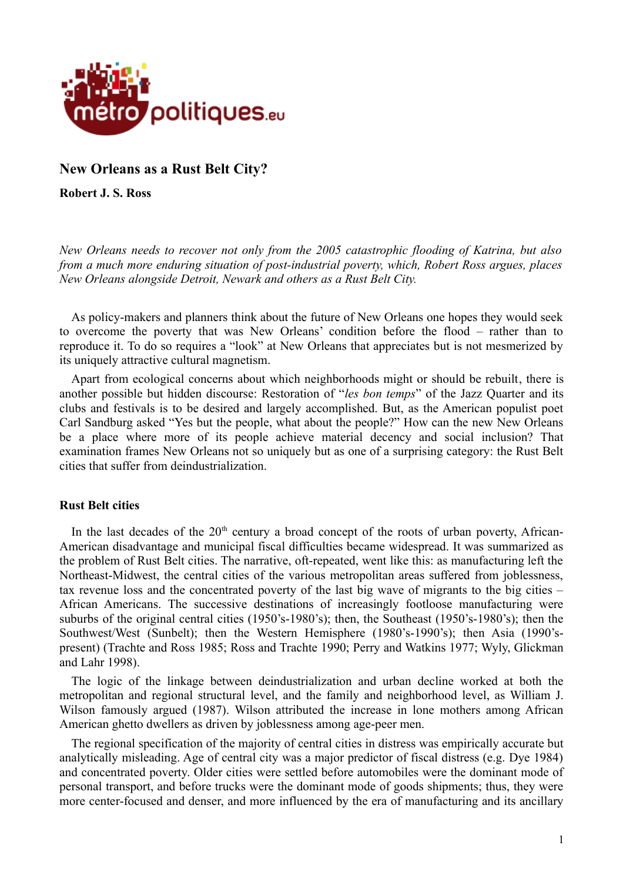

## **New Orleans as a Rust Belt City?**

**Robert J. S. Ross**

*New Orleans needs to recover not only from the 2005 catastrophic flooding of Katrina, but also from a much more enduring situation of post-industrial poverty, which, Robert Ross argues, places New Orleans alongside Detroit, Newark and others as a Rust Belt City.*

As policy-makers and planners think about the future of New Orleans one hopes they would seek to overcome the poverty that was New Orleans' condition before the flood – rather than to reproduce it. To do so requires a "look" at New Orleans that appreciates but is not mesmerized by its uniquely attractive cultural magnetism.

Apart from ecological concerns about which neighborhoods might or should be rebuilt, there is another possible but hidden discourse: Restoration of "*les bon temps*" of the Jazz Quarter and its clubs and festivals is to be desired and largely accomplished. But, as the American populist poet Carl Sandburg asked "Yes but the people, what about the people?" How can the new New Orleans be a place where more of its people achieve material decency and social inclusion? That examination frames New Orleans not so uniquely but as one of a surprising category: the Rust Belt cities that suffer from deindustrialization.

## **Rust Belt cities**

In the last decades of the  $20<sup>th</sup>$  century a broad concept of the roots of urban poverty, African-American disadvantage and municipal fiscal difficulties became widespread. It was summarized as the problem of Rust Belt cities. The narrative, oft-repeated, went like this: as manufacturing left the Northeast-Midwest, the central cities of the various metropolitan areas suffered from joblessness, tax revenue loss and the concentrated poverty of the last big wave of migrants to the big cities – African Americans. The successive destinations of increasingly footloose manufacturing were suburbs of the original central cities (1950's-1980's); then, the Southeast (1950's-1980's); then the Southwest/West (Sunbelt); then the Western Hemisphere (1980's-1990's); then Asia (1990'spresent) (Trachte and Ross 1985; Ross and Trachte 1990; Perry and Watkins 1977; Wyly, Glickman and Lahr 1998).

The logic of the linkage between deindustrialization and urban decline worked at both the metropolitan and regional structural level, and the family and neighborhood level, as William J. Wilson famously argued (1987). Wilson attributed the increase in lone mothers among African American ghetto dwellers as driven by joblessness among age-peer men.

The regional specification of the majority of central cities in distress was empirically accurate but analytically misleading. Age of central city was a major predictor of fiscal distress (e.g. Dye 1984) and concentrated poverty. Older cities were settled before automobiles were the dominant mode of personal transport, and before trucks were the dominant mode of goods shipments; thus, they were more center-focused and denser, and more influenced by the era of manufacturing and its ancillary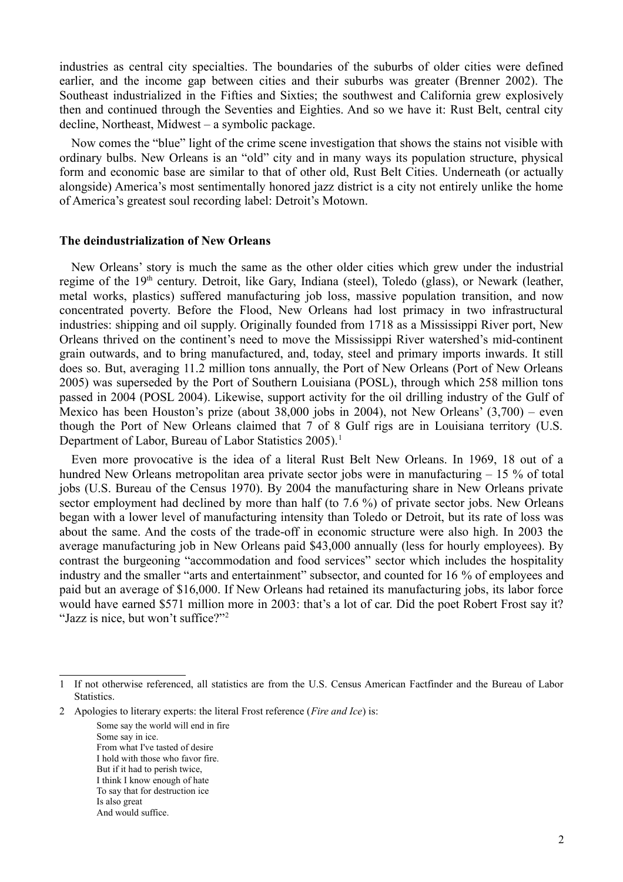industries as central city specialties. The boundaries of the suburbs of older cities were defined earlier, and the income gap between cities and their suburbs was greater (Brenner 2002). The Southeast industrialized in the Fifties and Sixties; the southwest and California grew explosively then and continued through the Seventies and Eighties. And so we have it: Rust Belt, central city decline, Northeast, Midwest – a symbolic package.

Now comes the "blue" light of the crime scene investigation that shows the stains not visible with ordinary bulbs. New Orleans is an "old" city and in many ways its population structure, physical form and economic base are similar to that of other old, Rust Belt Cities. Underneath (or actually alongside) America's most sentimentally honored jazz district is a city not entirely unlike the home of America's greatest soul recording label: Detroit's Motown.

#### **The deindustrialization of New Orleans**

New Orleans' story is much the same as the other older cities which grew under the industrial regime of the 19<sup>th</sup> century. Detroit, like Gary, Indiana (steel), Toledo (glass), or Newark (leather, metal works, plastics) suffered manufacturing job loss, massive population transition, and now concentrated poverty. Before the Flood, New Orleans had lost primacy in two infrastructural industries: shipping and oil supply. Originally founded from 1718 as a Mississippi River port, New Orleans thrived on the continent's need to move the Mississippi River watershed's mid-continent grain outwards, and to bring manufactured, and, today, steel and primary imports inwards. It still does so. But, averaging 11.2 million tons annually, the Port of New Orleans (Port of New Orleans 2005) was superseded by the Port of Southern Louisiana (POSL), through which 258 million tons passed in 2004 (POSL 2004). Likewise, support activity for the oil drilling industry of the Gulf of Mexico has been Houston's prize (about 38,000 jobs in 2004), not New Orleans' (3,700) – even though the Port of New Orleans claimed that 7 of 8 Gulf rigs are in Louisiana territory (U.S. Department of Labor, Bureau of Labor Statistics 2005).<sup>[1](#page-1-0)</sup>

Even more provocative is the idea of a literal Rust Belt New Orleans. In 1969, 18 out of a hundred New Orleans metropolitan area private sector jobs were in manufacturing – 15 % of total jobs (U.S. Bureau of the Census 1970). By 2004 the manufacturing share in New Orleans private sector employment had declined by more than half (to 7.6 %) of private sector jobs. New Orleans began with a lower level of manufacturing intensity than Toledo or Detroit, but its rate of loss was about the same. And the costs of the trade-off in economic structure were also high. In 2003 the average manufacturing job in New Orleans paid \$43,000 annually (less for hourly employees). By contrast the burgeoning "accommodation and food services" sector which includes the hospitality industry and the smaller "arts and entertainment" subsector, and counted for 16 % of employees and paid but an average of \$16,000. If New Orleans had retained its manufacturing jobs, its labor force would have earned \$571 million more in 2003: that's a lot of car. Did the poet Robert Frost say it? "Jazz is nice, but won't suffice?"<sup>[2](#page-1-1)</sup>

<span id="page-1-1"></span>2 Apologies to literary experts: the literal Frost reference (*Fire and Ice*) is:

Some say the world will end in fire Some say in ice. From what I've tasted of desire I hold with those who favor fire. But if it had to perish twice, I think I know enough of hate To say that for destruction ice Is also great And would suffice.

<span id="page-1-0"></span><sup>1</sup> If not otherwise referenced, all statistics are from the U.S. Census American Factfinder and the Bureau of Labor **Statistics**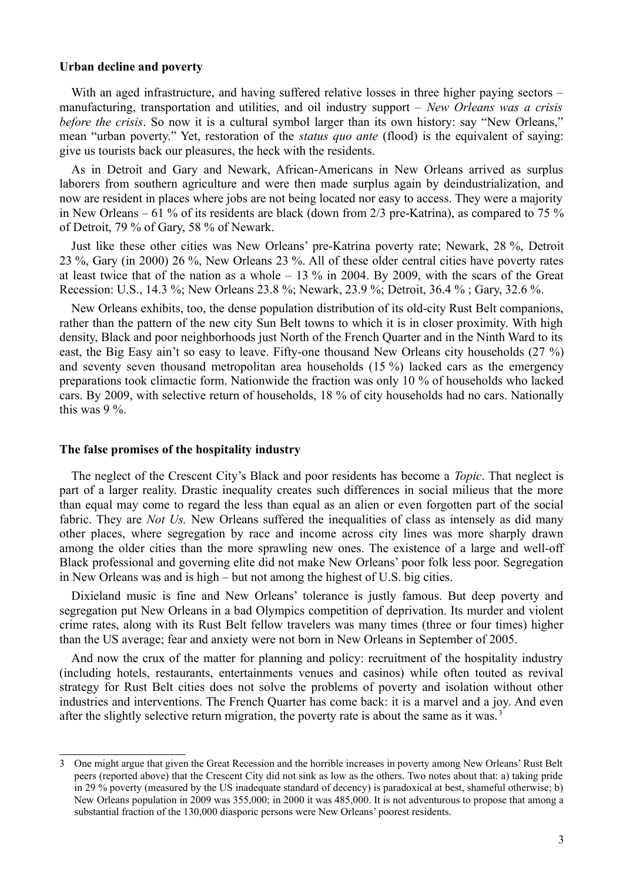## **Urban decline and poverty**

With an aged infrastructure, and having suffered relative losses in three higher paying sectors – manufacturing, transportation and utilities, and oil industry support – *New Orleans was a crisis before the crisis.* So now it is a cultural symbol larger than its own history: say "New Orleans." mean "urban poverty." Yet, restoration of the *status quo ante* (flood) is the equivalent of saying: give us tourists back our pleasures, the heck with the residents.

As in Detroit and Gary and Newark, African-Americans in New Orleans arrived as surplus laborers from southern agriculture and were then made surplus again by deindustrialization, and now are resident in places where jobs are not being located nor easy to access. They were a majority in New Orleans – 61 % of its residents are black (down from  $2/3$  pre-Katrina), as compared to 75 % of Detroit, 79 % of Gary, 58 % of Newark.

Just like these other cities was New Orleans' pre-Katrina poverty rate; Newark, 28 %, Detroit 23 %, Gary (in 2000) 26 %, New Orleans 23 %. All of these older central cities have poverty rates at least twice that of the nation as a whole  $-13\%$  in 2004. By 2009, with the scars of the Great Recession: U.S., 14.3 %; New Orleans 23.8 %; Newark, 23.9 %; Detroit, 36.4 % ; Gary, 32.6 %.

New Orleans exhibits, too, the dense population distribution of its old-city Rust Belt companions, rather than the pattern of the new city Sun Belt towns to which it is in closer proximity. With high density, Black and poor neighborhoods just North of the French Quarter and in the Ninth Ward to its east, the Big Easy ain't so easy to leave. Fifty-one thousand New Orleans city households (27 %) and seventy seven thousand metropolitan area households (15 %) lacked cars as the emergency preparations took climactic form. Nationwide the fraction was only 10 % of households who lacked cars. By 2009, with selective return of households, 18 % of city households had no cars. Nationally this was 9 %.

#### **The false promises of the hospitality industry**

The neglect of the Crescent City's Black and poor residents has become a *Topic*. That neglect is part of a larger reality. Drastic inequality creates such differences in social milieus that the more than equal may come to regard the less than equal as an alien or even forgotten part of the social fabric. They are *Not Us.* New Orleans suffered the inequalities of class as intensely as did many other places, where segregation by race and income across city lines was more sharply drawn among the older cities than the more sprawling new ones. The existence of a large and well-off Black professional and governing elite did not make New Orleans' poor folk less poor. Segregation in New Orleans was and is high – but not among the highest of U.S. big cities.

Dixieland music is fine and New Orleans' tolerance is justly famous. But deep poverty and segregation put New Orleans in a bad Olympics competition of deprivation. Its murder and violent crime rates, along with its Rust Belt fellow travelers was many times (three or four times) higher than the US average; fear and anxiety were not born in New Orleans in September of 2005.

And now the crux of the matter for planning and policy: recruitment of the hospitality industry (including hotels, restaurants, entertainments venues and casinos) while often touted as revival strategy for Rust Belt cities does not solve the problems of poverty and isolation without other industries and interventions. The French Quarter has come back: it is a marvel and a joy. And even after the slightly selective return migration, the poverty rate is about the same as it was.<sup>[3](#page-2-0)</sup>

<span id="page-2-0"></span><sup>3</sup> One might argue that given the Great Recession and the horrible increases in poverty among New Orleans' Rust Belt peers (reported above) that the Crescent City did not sink as low as the others. Two notes about that: a) taking pride in 29 % poverty (measured by the US inadequate standard of decency) is paradoxical at best, shameful otherwise; b) New Orleans population in 2009 was 355,000; in 2000 it was 485,000. It is not adventurous to propose that among a substantial fraction of the 130,000 diasporic persons were New Orleans' poorest residents.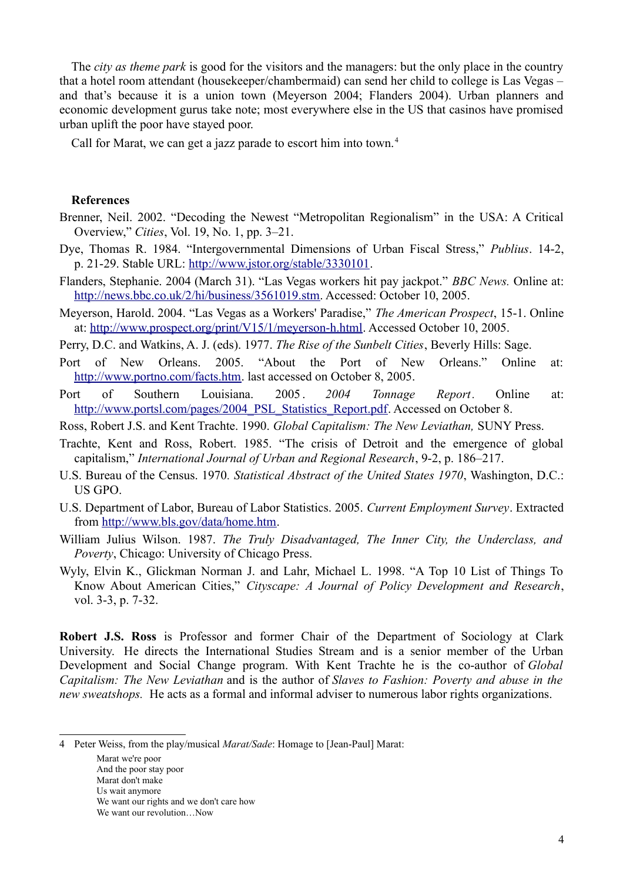The *city as theme park* is good for the visitors and the managers: but the only place in the country that a hotel room attendant (housekeeper/chambermaid) can send her child to college is Las Vegas – and that's because it is a union town (Meyerson 2004; Flanders 2004). Urban planners and economic development gurus take note; most everywhere else in the US that casinos have promised urban uplift the poor have stayed poor.

Call for Marat, we can get a jazz parade to escort him into town.<sup>[4](#page-3-0)</sup>

### **References**

- Brenner, Neil. 2002. "Decoding the Newest "Metropolitan Regionalism" in the USA: A Critical Overview," *Cities*, Vol. 19, No. 1, pp. 3–21.
- Dye, Thomas R. 1984. "Intergovernmental Dimensions of Urban Fiscal Stress," *Publius*. 14-2, p. 21-29. Stable URL: [http://www.jstor.org/stable/3330101.](http://www.jstor.org/stable/3330101)
- Flanders, Stephanie. 2004 (March 31). "Las Vegas workers hit pay jackpot." *BBC News.* Online at: [http://news.bbc.co.uk/2/hi/business/3561019.stm.](http://news.bbc.co.uk/2/hi/business/3561019.stm) Accessed: October 10, 2005.
- Meyerson, Harold. 2004. "Las Vegas as a Workers' Paradise," *The American Prospect*, 15-1. Online at: [http://www.prospect.org/print/V15/1/meyerson-h.html.](http://www.prospect.org/print/V15/1/meyerson-h.html) Accessed October 10, 2005.
- Perry, D.C. and Watkins, A. J. (eds). 1977. *The Rise of the Sunbelt Cities*, Beverly Hills: Sage.
- Port of New Orleans. 2005. "About the Port of New Orleans." Online at: [http://www.portno.com/facts.htm.](http://www.portno.com/facts.htm) last accessed on October 8, 2005.
- Port of Southern Louisiana. 2005 . *2004 Tonnage Report.* Online at: [http://www.portsl.com/pages/2004\\_PSL\\_Statistics\\_Report.pdf.](http://www.portsl.com/pages/2004_PSL_Statistics_Report.pdf) Accessed on October 8.
- Ross, Robert J.S. and Kent Trachte. 1990. *Global Capitalism: The New Leviathan,* SUNY Press.
- Trachte, Kent and Ross, Robert. 1985. "The crisis of Detroit and the emergence of global capitalism," *International Journal of Urban and Regional Research*, 9-2, p. 186–217.
- U.S. Bureau of the Census. 1970*. Statistical Abstract of the United States 1970*, Washington, D.C.: US GPO.
- U.S. Department of Labor, Bureau of Labor Statistics. 2005. *Current Employment Survey*. Extracted from [http://www.bls.gov/data/home.htm.](http://www.bls.gov/data/home.htm)
- William Julius Wilson. 1987. *The Truly Disadvantaged, The Inner City, the Underclass, and Poverty*, Chicago: University of Chicago Press.
- Wyly, Elvin K., Glickman Norman J. and Lahr, Michael L. 1998. "A Top 10 List of Things To Know About American Cities," *Cityscape: A Journal of Policy Development and Research*, vol. 3-3, p. 7-32.

**Robert J.S. Ross** is Professor and former Chair of the Department of Sociology at Clark University. He directs the International Studies Stream and is a senior member of the Urban Development and Social Change program. With Kent Trachte he is the co-author of *Global Capitalism: The New Leviathan* and is the author of *Slaves to Fashion: Poverty and abuse in the new sweatshops.* He acts as a formal and informal adviser to numerous labor rights organizations.

<span id="page-3-0"></span>4 Peter Weiss, from the play/musical *Marat/Sade*: Homage to [Jean-Paul] Marat:

Marat we're poor And the poor stay poor Marat don't make Us wait anymore We want our rights and we don't care how We want our revolution…Now